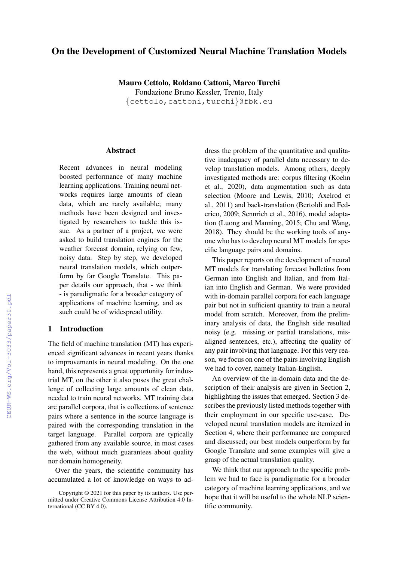# On the Development of Customized Neural Machine Translation Models

Mauro Cettolo, Roldano Cattoni, Marco Turchi Fondazione Bruno Kessler, Trento, Italy {cettolo,cattoni,turchi}@fbk.eu

### Abstract

Recent advances in neural modeling boosted performance of many machine learning applications. Training neural networks requires large amounts of clean data, which are rarely available; many methods have been designed and investigated by researchers to tackle this issue. As a partner of a project, we were asked to build translation engines for the weather forecast domain, relying on few, noisy data. Step by step, we developed neural translation models, which outperform by far Google Translate. This paper details our approach, that - we think - is paradigmatic for a broader category of applications of machine learning, and as such could be of widespread utility.

# 1 Introduction

The field of machine translation (MT) has experienced significant advances in recent years thanks to improvements in neural modeling. On the one hand, this represents a great opportunity for industrial MT, on the other it also poses the great challenge of collecting large amounts of clean data, needed to train neural networks. MT training data are parallel corpora, that is collections of sentence pairs where a sentence in the source language is paired with the corresponding translation in the target language. Parallel corpora are typically gathered from any available source, in most cases the web, without much guarantees about quality nor domain homogeneity.

Over the years, the scientific community has accumulated a lot of knowledge on ways to ad-

dress the problem of the quantitative and qualitative inadequacy of parallel data necessary to develop translation models. Among others, deeply investigated methods are: corpus filtering (Koehn et al., 2020), data augmentation such as data selection (Moore and Lewis, 2010; Axelrod et al., 2011) and back-translation (Bertoldi and Federico, 2009; Sennrich et al., 2016), model adaptation (Luong and Manning, 2015; Chu and Wang, 2018). They should be the working tools of anyone who has to develop neural MT models for specific language pairs and domains.

This paper reports on the development of neural MT models for translating forecast bulletins from German into English and Italian, and from Italian into English and German. We were provided with in-domain parallel corpora for each language pair but not in sufficient quantity to train a neural model from scratch. Moreover, from the preliminary analysis of data, the English side resulted noisy (e.g. missing or partial translations, misaligned sentences, etc.), affecting the quality of any pair involving that language. For this very reason, we focus on one of the pairs involving English we had to cover, namely Italian-English.

An overview of the in-domain data and the description of their analysis are given in Section 2, highlighting the issues that emerged. Section 3 describes the previously listed methods together with their employment in our specific use-case. Developed neural translation models are itemized in Section 4, where their performance are compared and discussed; our best models outperform by far Google Translate and some examples will give a grasp of the actual translation quality.

We think that our approach to the specific problem we had to face is paradigmatic for a broader category of machine learning applications, and we hope that it will be useful to the whole NLP scientific community.

Copyright © 2021 for this paper by its authors. Use permitted under Creative Commons License Attribution 4.0 International (CC BY 4.0).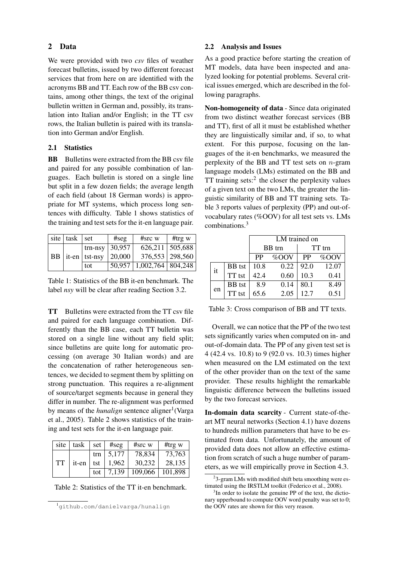# 2 Data

We were provided with two *csv* files of weather forecast bulletins, issued by two different forecast services that from here on are identified with the acronyms BB and TT. Each row of the BB csv contains, among other things, the text of the original bulletin written in German and, possibly, its translation into Italian and/or English; in the TT csv rows, the Italian bulletin is paired with its translation into German and/or English.

# 2.1 Statistics

**BB** Bulletins were extracted from the BB csv file and paired for any possible combination of languages. Each bulletin is stored on a single line but split in a few dozen fields; the average length of each field (about 18 German words) is appropriate for MT systems, which process long sentences with difficulty. Table 1 shows statistics of the training and test sets for the it-en language pair.

| site   task   set |                                       | #seg   | $#src$ w                       | #trg $w$            |
|-------------------|---------------------------------------|--------|--------------------------------|---------------------|
|                   | trn-nsy   $30,957$                    |        |                                | $626,211$   505,688 |
|                   | $\mid$ BB $\mid$ it-en $\mid$ tst-nsy | 20,000 |                                | $376,553$ 298,560   |
|                   | tot                                   |        | $50,957$   1,002,764   804,248 |                     |

Table 1: Statistics of the BB it-en benchmark. The label *nsy* will be clear after reading Section 3.2.

TT Bulletins were extracted from the TT csv file and paired for each language combination. Differently than the BB case, each TT bulletin was stored on a single line without any field split; since bulletins are quite long for automatic processing (on average 30 Italian words) and are the concatenation of rather heterogeneous sentences, we decided to segment them by splitting on strong punctuation. This requires a re-alignment of source/target segments because in general they differ in number. The re-alignment was performed by means of the *hunalign* sentence aligner<sup>1</sup> (Varga et al., 2005). Table 2 shows statistics of the training and test sets for the it-en language pair.

| site | task  | set | #seg  | $#src$ w          | #trg $w$ |
|------|-------|-----|-------|-------------------|----------|
|      |       | trn | 5,177 | 78,834            | 73,763   |
| TT   | it-en | tst | 1.962 | 30,232            | 28,135   |
|      |       | tot | 7,139 | 109,066   101,898 |          |

Table 2: Statistics of the TT it-en benchmark.

#### 2.2 Analysis and Issues

As a good practice before starting the creation of MT models, data have been inspected and analyzed looking for potential problems. Several critical issues emerged, which are described in the following paragraphs.

Non-homogeneity of data - Since data originated from two distinct weather forecast services (BB and TT), first of all it must be established whether they are linguistically similar and, if so, to what extent. For this purpose, focusing on the languages of the it-en benchmarks, we measured the perplexity of the BB and TT test sets on  $n$ -gram language models (LMs) estimated on the BB and TT training sets: $2$  the closer the perplexity values of a given text on the two LMs, the greater the linguistic similarity of BB and TT training sets. Table 3 reports values of perplexity (PP) and out-ofvocabulary rates (%OOV) for all test sets vs. LMs combinations.<sup>3</sup>

|    |               |           | LM trained on |           |        |
|----|---------------|-----------|---------------|-----------|--------|
|    |               |           | BB trn        |           | TT trn |
|    |               | <b>PP</b> | %OOV          | <b>PP</b> | %OOV   |
| it | <b>BB</b> tst | 10.8      | 0.22          | 92.0      | 12.07  |
|    | TT tst        | 42.4      | 0.60          | 10.3      | 0.41   |
|    | <b>BB</b> tst | 8.9       | 0.14          | 80.1      | 8.49   |
| en | TT tst        | 65.6      | 2.05          | 12.7      | 0.51   |

Table 3: Cross comparison of BB and TT texts.

Overall, we can notice that the PP of the two test sets significantly varies when computed on in- and out-of-domain data. The PP of any given test set is 4 (42.4 vs. 10.8) to 9 (92.0 vs. 10.3) times higher when measured on the LM estimated on the text of the other provider than on the text of the same provider. These results highlight the remarkable linguistic difference between the bulletins issued by the two forecast services.

In-domain data scarcity - Current state-of-theart MT neural networks (Section 4.1) have dozens to hundreds million parameters that have to be estimated from data. Unfortunately, the amount of provided data does not allow an effective estimation from scratch of such a huge number of parameters, as we will empirically prove in Section 4.3.

<sup>1</sup>github.com/danielvarga/hunalign

<sup>&</sup>lt;sup>2</sup>3-gram LMs with modified shift beta smoothing were estimated using the IRSTLM toolkit (Federico et al., 2008).

<sup>&</sup>lt;sup>3</sup>In order to isolate the genuine PP of the text, the dictionary upperbound to compute OOV word penalty was set to 0; the OOV rates are shown for this very reason.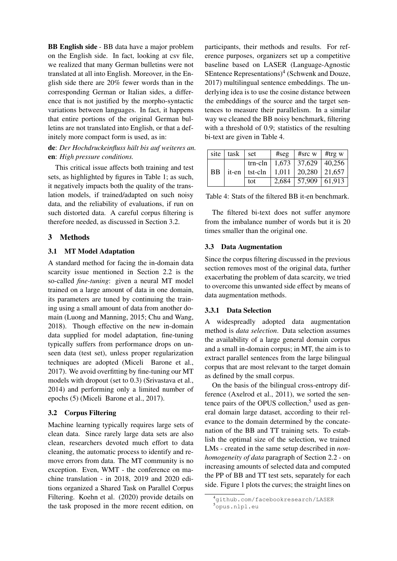BB English side - BB data have a major problem on the English side. In fact, looking at csv file, we realized that many German bulletins were not translated at all into English. Moreover, in the English side there are 20% fewer words than in the corresponding German or Italian sides, a difference that is not justified by the morpho-syntactic variations between languages. In fact, it happens that entire portions of the original German bulletins are not translated into English, or that a definitely more compact form is used, as in:

de: *Der Hochdruckeinfluss hält bis auf weiteres an.* en: *High pressure conditions.*

This critical issue affects both training and test sets, as highlighted by figures in Table 1; as such, it negatively impacts both the quality of the translation models, if trained/adapted on such noisy data, and the reliability of evaluations, if run on such distorted data. A careful corpus filtering is therefore needed, as discussed in Section 3.2.

# 3 Methods

# 3.1 MT Model Adaptation

A standard method for facing the in-domain data scarcity issue mentioned in Section 2.2 is the so-called *fine-tuning*: given a neural MT model trained on a large amount of data in one domain, its parameters are tuned by continuing the training using a small amount of data from another domain (Luong and Manning, 2015; Chu and Wang, 2018). Though effective on the new in-domain data supplied for model adaptation, fine-tuning typically suffers from performance drops on unseen data (test set), unless proper regularization techniques are adopted (Miceli Barone et al., 2017). We avoid overfitting by fine-tuning our MT models with dropout (set to 0.3) (Srivastava et al., 2014) and performing only a limited number of epochs (5) (Miceli Barone et al., 2017).

# 3.2 Corpus Filtering

Machine learning typically requires large sets of clean data. Since rarely large data sets are also clean, researchers devoted much effort to data cleaning, the automatic process to identify and remove errors from data. The MT community is no exception. Even, WMT - the conference on machine translation - in 2018, 2019 and 2020 editions organized a Shared Task on Parallel Corpus Filtering. Koehn et al. (2020) provide details on the task proposed in the more recent edition, on participants, their methods and results. For reference purposes, organizers set up a competitive baseline based on LASER (Language-Agnostic SEntence Representations)<sup>4</sup> (Schwenk and Douze, 2017) multilingual sentence embeddings. The underlying idea is to use the cosine distance between the embeddings of the source and the target sentences to measure their parallelism. In a similar way we cleaned the BB noisy benchmark, filtering with a threshold of 0.9; statistics of the resulting bi-text are given in Table 4.

| site      | task | set | #seg   #src w   #trg w                    |                                   |
|-----------|------|-----|-------------------------------------------|-----------------------------------|
|           |      |     |                                           | trn-cln   1,673   37,629   40,256 |
| <b>BB</b> |      |     | it-en   tst-cln   1,011   20,280   21,657 |                                   |
|           |      | tot |                                           | $2,684$   57,909   61,913         |

Table 4: Stats of the filtered BB it-en benchmark.

The filtered bi-text does not suffer anymore from the imbalance number of words but it is 20 times smaller than the original one.

# 3.3 Data Augmentation

Since the corpus filtering discussed in the previous section removes most of the original data, further exacerbating the problem of data scarcity, we tried to overcome this unwanted side effect by means of data augmentation methods.

#### 3.3.1 Data Selection

A widespreadly adopted data augmentation method is *data selection*. Data selection assumes the availability of a large general domain corpus and a small in-domain corpus; in MT, the aim is to extract parallel sentences from the large bilingual corpus that are most relevant to the target domain as defined by the small corpus.

On the basis of the bilingual cross-entropy difference (Axelrod et al., 2011), we sorted the sentence pairs of the OPUS collection,<sup>5</sup> used as general domain large dataset, according to their relevance to the domain determined by the concatenation of the BB and TT training sets. To establish the optimal size of the selection, we trained LMs - created in the same setup described in *nonhomogeneity of data* paragraph of Section 2.2 - on increasing amounts of selected data and computed the PP of BB and TT test sets, separately for each side. Figure 1 plots the curves; the straight lines on

<sup>4</sup>github.com/facebookresearch/LASER <sup>5</sup>opus.nlpl.eu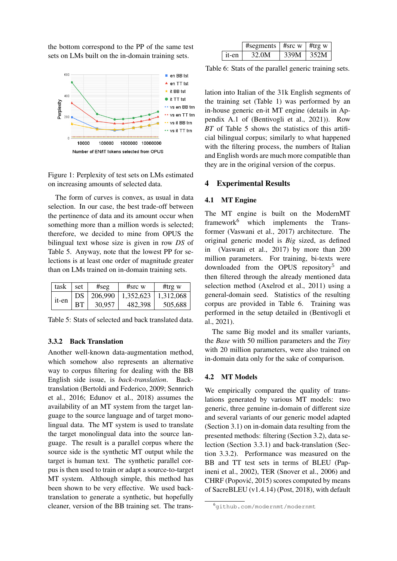the bottom correspond to the PP of the same test sets on LMs built on the in-domain training sets.



Figure 1: Perplexity of test sets on LMs estimated on increasing amounts of selected data.

The form of curves is convex, as usual in data selection. In our case, the best trade-off between the pertinence of data and its amount occur when something more than a million words is selected; therefore, we decided to mine from OPUS the bilingual text whose size is given in row *DS* of Table 5. Anyway, note that the lowest PP for selections is at least one order of magnitude greater than on LMs trained on in-domain training sets.

| task  | set | #seg    | $#src$ w  | #trg $w$  |
|-------|-----|---------|-----------|-----------|
| it-en | DS  | 206,990 | 1,352,623 | 1,312,068 |
|       | BТ  | 30,957  | 482,398   | 505,688   |

Table 5: Stats of selected and back translated data.

# 3.3.2 Back Translation

Another well-known data-augmentation method, which somehow also represents an alternative way to corpus filtering for dealing with the BB English side issue, is *back-translation*. Backtranslation (Bertoldi and Federico, 2009; Sennrich et al., 2016; Edunov et al., 2018) assumes the availability of an MT system from the target language to the source language and of target monolingual data. The MT system is used to translate the target monolingual data into the source language. The result is a parallel corpus where the source side is the synthetic MT output while the target is human text. The synthetic parallel corpus is then used to train or adapt a source-to-target MT system. Although simple, this method has been shown to be very effective. We used backtranslation to generate a synthetic, but hopefully cleaner, version of the BB training set. The trans-

|       | #segments   #src w   #trg w |      |             |
|-------|-----------------------------|------|-------------|
| it-en | 32.0M                       | 339M | $\mid$ 352M |

Table 6: Stats of the parallel generic training sets.

lation into Italian of the 31k English segments of the training set (Table 1) was performed by an in-house generic en-it MT engine (details in Appendix A.1 of (Bentivogli et al., 2021)). Row *BT* of Table 5 shows the statistics of this artificial bilingual corpus; similarly to what happened with the filtering process, the numbers of Italian and English words are much more compatible than they are in the original version of the corpus.

# 4 Experimental Results

#### 4.1 MT Engine

The MT engine is built on the ModernMT framework<sup>6</sup> which implements the Transformer (Vaswani et al., 2017) architecture. The original generic model is *Big* sized, as defined in (Vaswani et al., 2017) by more than 200 million parameters. For training, bi-texts were downloaded from the OPUS repository<sup>5</sup> and then filtered through the already mentioned data selection method (Axelrod et al., 2011) using a general-domain seed. Statistics of the resulting corpus are provided in Table 6. Training was performed in the setup detailed in (Bentivogli et al., 2021).

The same Big model and its smaller variants, the *Base* with 50 million parameters and the *Tiny* with 20 million parameters, were also trained on in-domain data only for the sake of comparison.

# 4.2 MT Models

We empirically compared the quality of translations generated by various MT models: two generic, three genuine in-domain of different size and several variants of our generic model adapted (Section 3.1) on in-domain data resulting from the presented methods: filtering (Section 3.2), data selection (Section 3.3.1) and back-translation (Section 3.3.2). Performance was measured on the BB and TT test sets in terms of BLEU (Papineni et al., 2002), TER (Snover et al., 2006) and CHRF (Popovic, 2015) scores computed by means ´ of SacreBLEU (v1.4.14) (Post, 2018), with default

<sup>6</sup>github.com/modernmt/modernmt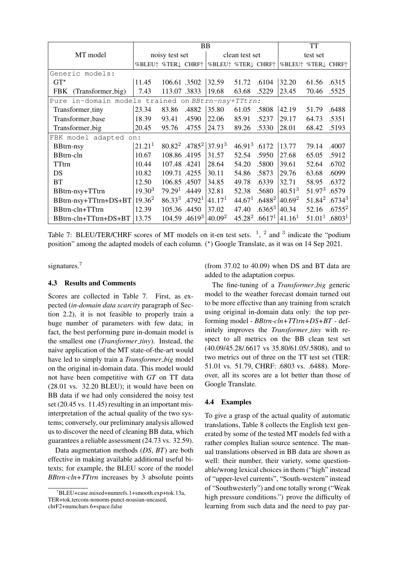|                                                      |                    |                              |                                                 | BB                 |                    |                                       |                    | <b>TT</b>                             |                    |
|------------------------------------------------------|--------------------|------------------------------|-------------------------------------------------|--------------------|--------------------|---------------------------------------|--------------------|---------------------------------------|--------------------|
| MT model                                             | noisy test set     |                              | clean test set                                  |                    |                    | test set                              |                    |                                       |                    |
|                                                      | %BLEU↑ %TER↓ CHRF↑ |                              |                                                 | %BLEU↑ %TER↓ CHRF↑ |                    |                                       | %BLEU↑ %TER↓ CHRF↑ |                                       |                    |
| Generic models:                                      |                    |                              |                                                 |                    |                    |                                       |                    |                                       |                    |
| $GT^{\star}$                                         | 11.45              | 106.61 .3502                 |                                                 | 32.59              | 51.72              | .6104                                 | 32.20              | 61.56                                 | .6315              |
| (Transformer_big)<br><b>FBK</b>                      | 7.43               | 113.07 .3833                 |                                                 | 19.68              | 63.68              | .5229                                 | 23.45              | 70.46                                 | .5525              |
| in-domain models trained on BBtrn-nsy+TTtrn:<br>Pure |                    |                              |                                                 |                    |                    |                                       |                    |                                       |                    |
| Transformer_tiny                                     | 23.34              | 83.86                        | .4882                                           | 35.80              | 61.05              | .5808                                 | 42.19              | 51.79                                 | .6488              |
| Transformer_base                                     | 18.39              | 93.41                        | .4590                                           | 22.06              | 85.91              | .5237                                 | 29.17              | 64.73                                 | .5351              |
| Transformer_big                                      | 20.45              | 95.76                        | .4755                                           | 24.73              | 89.26              | .5330                                 | 28.01              | 68.42                                 | .5193              |
| FBK model adapted on:                                |                    |                              |                                                 |                    |                    |                                       |                    |                                       |                    |
| <b>BBtrn-nsy</b>                                     | 21.21 <sup>1</sup> |                              | $80.82^2$ .4785 <sup>2</sup> 37.91 <sup>3</sup> |                    | $46.913$ .6172     |                                       | 13.77              | 79.14                                 | .4007              |
| <b>BBtrn-cln</b>                                     | 10.67              | 108.86 .4195                 |                                                 | 31.57              | 52.54              | .5950                                 | 27.68              | 65.05                                 | .5912              |
| TTtrn                                                | 10.44              | 107.48.4241                  |                                                 | 28.64              | 54.20              | .5800                                 | 39.61              | 52.64                                 | .6702              |
| DS                                                   | 10.82              | 109.71 .4255                 |                                                 | 30.11              | 54.86              | .5873                                 | 29.76              | 63.68                                 | .6099              |
| BT                                                   | 12.50              | 106.85 .4507                 |                                                 | 34.85              | 49.78              | .6339                                 | 32.71              | 58.95                                 | .6372              |
| BBtrn-nsy+TTtrn                                      | $19.30^{3}$        | $79.291$ .4449               |                                                 | 32.81              | 52.38              | .5680                                 | 40.51 <sup>3</sup> | 51.973                                | .6579              |
| BBtrn-nsy+TTtrn+DS+BT                                | $19.36^2$          | $86.33^3$ .4792 <sup>1</sup> |                                                 | 41.17 <sup>1</sup> | 44.67 <sup>1</sup> | $.6488^2\,40.69^2$                    |                    | 51.84 <sup>2</sup> .6734 <sup>3</sup> |                    |
| BBtrn-cln+TTtrn                                      | 12.39              | 105.36.4450                  |                                                 | 37.02              | 47.40              | $.6365^3$                             | 40.34              | 52.16                                 | $.6755^2$          |
| BBtrn-cln+TTtrn+DS+BT                                | 13.75              |                              | 104.59 .4619 <sup>3</sup>                       | $40.09^2$          |                    | 45.28 <sup>2</sup> .6617 <sup>1</sup> | 41.16 <sup>1</sup> | 51.01 <sup>1</sup>                    | .6803 <sup>1</sup> |

Table 7: BLEU/TER/CHRF scores of MT models on it-en test sets.  $\frac{1}{2}$ ,  $\frac{2}{3}$  and  $\frac{3}{3}$  indicate the "podium position" among the adapted models of each column. (\*) Google Translate, as it was on 14 Sep 2021.

signatures.<sup>7</sup>

# 4.3 Results and Comments

Scores are collected in Table 7. First, as expected (*in-domain data scarcity* paragraph of Section 2.2), it is not feasible to properly train a huge number of parameters with few data; in fact, the best performing pure in-domain model is the smallest one (*Transformer tiny*). Instead, the naive application of the MT state-of-the-art would have led to simply train a *Transformer big* model on the original in-domain data. This model would not have been competitive with *GT* on TT data (28.01 vs. 32.20 BLEU); it would have been on BB data if we had only considered the noisy test set (20.45 vs. 11.45) resulting in an important misinterpretation of the actual quality of the two systems; conversely, our preliminary analysis allowed us to discover the need of cleaning BB data, which guarantees a reliable assessment (24.73 vs. 32.59).

Data augmentation methods (*DS*, *BT*) are both effective in making available additional useful bitexts; for example, the BLEU score of the model *BBtrn-cln+TTtrn* increases by 3 absolute points (from 37.02 to 40.09) when DS and BT data are added to the adaptation corpus.

The fine-tuning of a *Transformer big* generic model to the weather forecast domain turned out to be more effective than any training from scratch using original in-domain data only: the top performing model - *BBtrn-cln+TTtrn+DS+BT* - definitely improves the *Transformer tiny* with respect to all metrics on the BB clean test set (40.09/45.28/.6617 vs 35.80/61.05/.5808), and to two metrics out of three on the TT test set (TER: 51.01 vs. 51.79, CHRF: .6803 vs. .6488). Moreover, all its scores are a lot better than those of Google Translate.

#### 4.4 Examples

To give a grasp of the actual quality of automatic translations, Table 8 collects the English text generated by some of the tested MT models fed with a rather complex Italian source sentence. The manual translations observed in BB data are shown as well: their number, their variety, some questionable/wrong lexical choices in them ("high" instead of "upper-level currents", "South-western" instead of "Southwesterly") and one totally wrong ("Weak high pressure conditions.") prove the difficulty of learning from such data and the need to pay par-

 $7$ BLEU+case.mixed+numrefs.1+smooth.exp+tok.13a, TER+tok.tercom-nonorm-punct-noasian-uncased, chrF2+numchars.6+space.false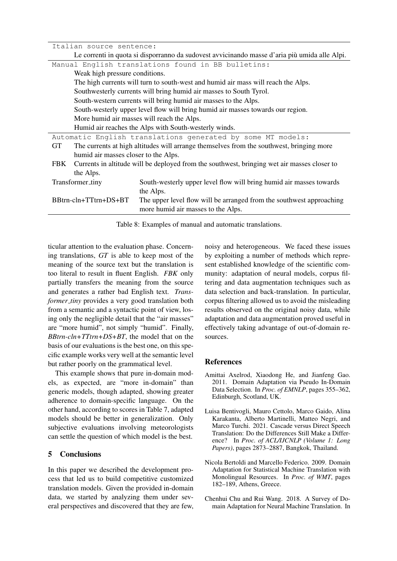| Italian source sentence:<br>Le correnti in quota si disporranno da sudovest avvicinando masse d'aria più umida alle Alpi.<br>Manual English translations found in BB bulletins:<br>Weak high pressure conditions.<br>The high currents will turn to south-west and humid air mass will reach the Alps. |
|--------------------------------------------------------------------------------------------------------------------------------------------------------------------------------------------------------------------------------------------------------------------------------------------------------|
|                                                                                                                                                                                                                                                                                                        |
|                                                                                                                                                                                                                                                                                                        |
|                                                                                                                                                                                                                                                                                                        |
|                                                                                                                                                                                                                                                                                                        |
|                                                                                                                                                                                                                                                                                                        |
| Southwesterly currents will bring humid air masses to South Tyrol.                                                                                                                                                                                                                                     |
| South-western currents will bring humid air masses to the Alps.                                                                                                                                                                                                                                        |
| South-westerly upper level flow will bring humid air masses towards our region.                                                                                                                                                                                                                        |
| More humid air masses will reach the Alps.                                                                                                                                                                                                                                                             |
| Humid air reaches the Alps with South-westerly winds.                                                                                                                                                                                                                                                  |
| Automatic English translations generated by some MT models:                                                                                                                                                                                                                                            |
| The currents at high altitudes will arrange themselves from the southwest, bringing more<br><b>GT</b>                                                                                                                                                                                                  |
| humid air masses closer to the Alps.                                                                                                                                                                                                                                                                   |
| Currents in altitude will be deployed from the southwest, bringing wet air masses closer to<br>FBK                                                                                                                                                                                                     |
| the Alps.                                                                                                                                                                                                                                                                                              |
| Transformer_tiny<br>South-westerly upper level flow will bring humid air masses towards                                                                                                                                                                                                                |
| the Alps.                                                                                                                                                                                                                                                                                              |
| BBtrn-cln+TTtrn+DS+BT<br>The upper level flow will be arranged from the southwest approaching                                                                                                                                                                                                          |
| more humid air masses to the Alps.                                                                                                                                                                                                                                                                     |

Table 8: Examples of manual and automatic translations.

ticular attention to the evaluation phase. Concerning translations, *GT* is able to keep most of the meaning of the source text but the translation is too literal to result in fluent English. *FBK* only partially transfers the meaning from the source and generates a rather bad English text. *Transformer tiny* provides a very good translation both from a semantic and a syntactic point of view, losing only the negligible detail that the "air masses" are "more humid", not simply "humid". Finally, *BBtrn-cln+TTtrn+DS+BT*, the model that on the basis of our evaluations is the best one, on this specific example works very well at the semantic level but rather poorly on the grammatical level.

This example shows that pure in-domain models, as expected, are "more in-domain" than generic models, though adapted, showing greater adherence to domain-specific language. On the other hand, according to scores in Table 7, adapted models should be better in generalization. Only subjective evaluations involving meteorologists can settle the question of which model is the best.

# 5 Conclusions

In this paper we described the development process that led us to build competitive customized translation models. Given the provided in-domain data, we started by analyzing them under several perspectives and discovered that they are few,

noisy and heterogeneous. We faced these issues by exploiting a number of methods which represent established knowledge of the scientific community: adaptation of neural models, corpus filtering and data augmentation techniques such as data selection and back-translation. In particular, corpus filtering allowed us to avoid the misleading results observed on the original noisy data, while adaptation and data augmentation proved useful in effectively taking advantage of out-of-domain resources.

# References

- Amittai Axelrod, Xiaodong He, and Jianfeng Gao. 2011. Domain Adaptation via Pseudo In-Domain Data Selection. In *Proc. of EMNLP*, pages 355–362, Edinburgh, Scotland, UK.
- Luisa Bentivogli, Mauro Cettolo, Marco Gaido, Alina Karakanta, Alberto Martinelli, Matteo Negri, and Marco Turchi. 2021. Cascade versus Direct Speech Translation: Do the Differences Still Make a Difference? In *Proc. of ACL/IJCNLP (Volume 1: Long Papers)*, pages 2873–2887, Bangkok, Thailand.
- Nicola Bertoldi and Marcello Federico. 2009. Domain Adaptation for Statistical Machine Translation with Monolingual Resources. In *Proc. of WMT*, pages 182–189, Athens, Greece.
- Chenhui Chu and Rui Wang. 2018. A Survey of Domain Adaptation for Neural Machine Translation. In